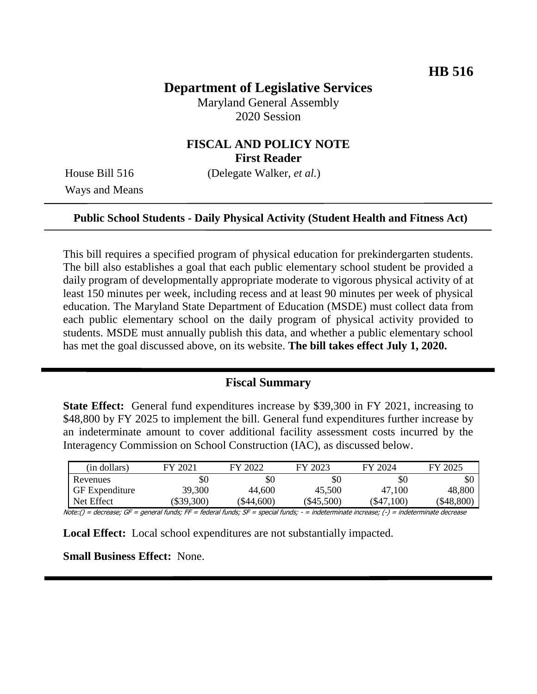# **Department of Legislative Services**

Maryland General Assembly 2020 Session

# **FISCAL AND POLICY NOTE First Reader**

Ways and Means

House Bill 516 (Delegate Walker, *et al.*)

#### **Public School Students - Daily Physical Activity (Student Health and Fitness Act)**

This bill requires a specified program of physical education for prekindergarten students. The bill also establishes a goal that each public elementary school student be provided a daily program of developmentally appropriate moderate to vigorous physical activity of at least 150 minutes per week, including recess and at least 90 minutes per week of physical education. The Maryland State Department of Education (MSDE) must collect data from each public elementary school on the daily program of physical activity provided to students. MSDE must annually publish this data, and whether a public elementary school has met the goal discussed above, on its website. **The bill takes effect July 1, 2020.**

### **Fiscal Summary**

**State Effect:** General fund expenditures increase by \$39,300 in FY 2021, increasing to \$48,800 by FY 2025 to implement the bill. General fund expenditures further increase by an indeterminate amount to cover additional facility assessment costs incurred by the Interagency Commission on School Construction (IAC), as discussed below.

| (in dollars)          | FY 202   | FY 2022  | FY 2023     | FY 2024  | FY 2025      |
|-----------------------|----------|----------|-------------|----------|--------------|
| Revenues              | \$0      | \$0      | \$0         | \$0      | \$0          |
| <b>GF</b> Expenditure | 39,300   | 44,600   | 45,500      | 47,100   | 48,800       |
| Net Effect            | \$39,300 | \$44,600 | $\$45,500)$ | \$47,100 | ( \$48, 800] |

Note:() = decrease; GF = general funds; FF = federal funds; SF = special funds; - = indeterminate increase; (-) = indeterminate decrease

**Local Effect:** Local school expenditures are not substantially impacted.

**Small Business Effect:** None.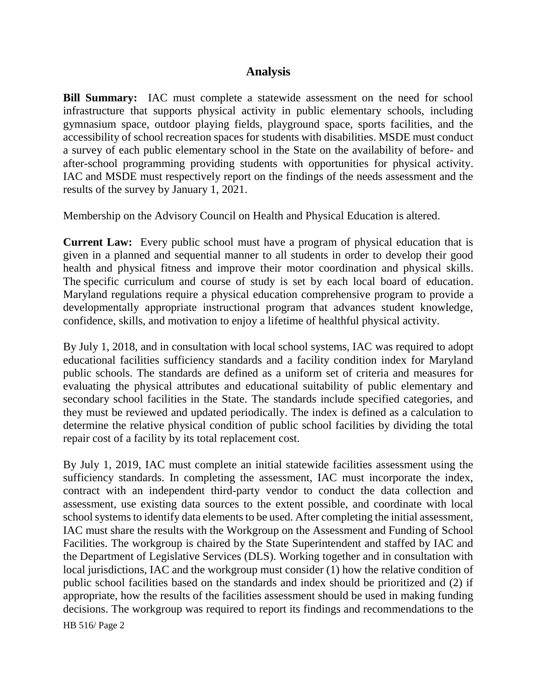## **Analysis**

**Bill Summary:** IAC must complete a statewide assessment on the need for school infrastructure that supports physical activity in public elementary schools, including gymnasium space, outdoor playing fields, playground space, sports facilities, and the accessibility of school recreation spaces for students with disabilities. MSDE must conduct a survey of each public elementary school in the State on the availability of before- and after-school programming providing students with opportunities for physical activity. IAC and MSDE must respectively report on the findings of the needs assessment and the results of the survey by January 1, 2021.

Membership on the Advisory Council on Health and Physical Education is altered.

**Current Law:** Every public school must have a program of physical education that is given in a planned and sequential manner to all students in order to develop their good health and physical fitness and improve their motor coordination and physical skills. The specific curriculum and course of study is set by each local board of education. Maryland regulations require a physical education comprehensive program to provide a developmentally appropriate instructional program that advances student knowledge, confidence, skills, and motivation to enjoy a lifetime of healthful physical activity.

By July 1, 2018, and in consultation with local school systems, IAC was required to adopt educational facilities sufficiency standards and a facility condition index for Maryland public schools. The standards are defined as a uniform set of criteria and measures for evaluating the physical attributes and educational suitability of public elementary and secondary school facilities in the State. The standards include specified categories, and they must be reviewed and updated periodically. The index is defined as a calculation to determine the relative physical condition of public school facilities by dividing the total repair cost of a facility by its total replacement cost.

By July 1, 2019, IAC must complete an initial statewide facilities assessment using the sufficiency standards. In completing the assessment, IAC must incorporate the index, contract with an independent third-party vendor to conduct the data collection and assessment, use existing data sources to the extent possible, and coordinate with local school systems to identify data elements to be used. After completing the initial assessment, IAC must share the results with the Workgroup on the Assessment and Funding of School Facilities. The workgroup is chaired by the State Superintendent and staffed by IAC and the Department of Legislative Services (DLS). Working together and in consultation with local jurisdictions, IAC and the workgroup must consider (1) how the relative condition of public school facilities based on the standards and index should be prioritized and (2) if appropriate, how the results of the facilities assessment should be used in making funding decisions. The workgroup was required to report its findings and recommendations to the

HB 516/ Page 2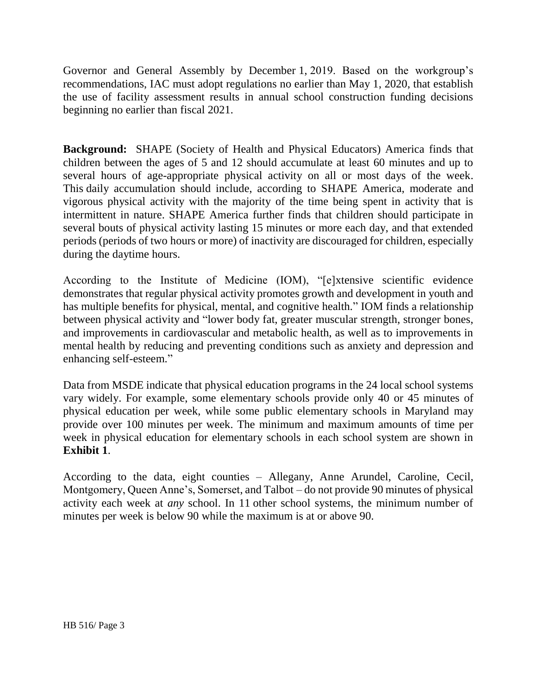Governor and General Assembly by December 1, 2019. Based on the workgroup's recommendations, IAC must adopt regulations no earlier than May 1, 2020, that establish the use of facility assessment results in annual school construction funding decisions beginning no earlier than fiscal 2021.

**Background:** SHAPE (Society of Health and Physical Educators) America finds that children between the ages of 5 and 12 should accumulate at least 60 minutes and up to several hours of age-appropriate physical activity on all or most days of the week. This daily accumulation should include, according to SHAPE America, moderate and vigorous physical activity with the majority of the time being spent in activity that is intermittent in nature. SHAPE America further finds that children should participate in several bouts of physical activity lasting 15 minutes or more each day, and that extended periods (periods of two hours or more) of inactivity are discouraged for children, especially during the daytime hours.

According to the Institute of Medicine (IOM), "[e]xtensive scientific evidence demonstrates that regular physical activity promotes growth and development in youth and has multiple benefits for physical, mental, and cognitive health." IOM finds a relationship between physical activity and "lower body fat, greater muscular strength, stronger bones, and improvements in cardiovascular and metabolic health, as well as to improvements in mental health by reducing and preventing conditions such as anxiety and depression and enhancing self-esteem."

Data from MSDE indicate that physical education programs in the 24 local school systems vary widely. For example, some elementary schools provide only 40 or 45 minutes of physical education per week, while some public elementary schools in Maryland may provide over 100 minutes per week. The minimum and maximum amounts of time per week in physical education for elementary schools in each school system are shown in **Exhibit 1**.

According to the data, eight counties – Allegany, Anne Arundel, Caroline, Cecil, Montgomery, Queen Anne's, Somerset, and Talbot – do not provide 90 minutes of physical activity each week at *any* school. In 11 other school systems, the minimum number of minutes per week is below 90 while the maximum is at or above 90.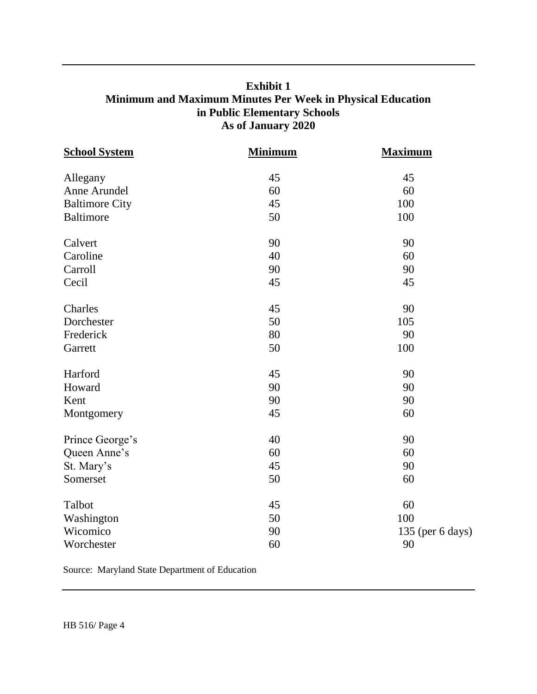# **Exhibit 1 Minimum and Maximum Minutes Per Week in Physical Education in Public Elementary Schools As of January 2020**

| <b>School System</b>  | <b>Minimum</b> | <b>Maximum</b>   |  |
|-----------------------|----------------|------------------|--|
| Allegany              | 45             | 45               |  |
| Anne Arundel          | 60             | 60               |  |
| <b>Baltimore City</b> | 45             | 100              |  |
| <b>Baltimore</b>      | 50             | 100              |  |
| Calvert               | 90             | 90               |  |
| Caroline              | 40             | 60               |  |
| Carroll               | 90             | 90               |  |
| Cecil                 | 45             | 45               |  |
| Charles               | 45             | 90               |  |
| Dorchester            | 50             | 105              |  |
| Frederick             | 80             | 90               |  |
| Garrett               | 50             | 100              |  |
| Harford               | 45             | 90               |  |
| Howard                | 90             | 90               |  |
| Kent                  | 90             | 90               |  |
| Montgomery            | 45             | 60               |  |
| Prince George's       | 40             | 90               |  |
| Queen Anne's          | 60             | 60               |  |
| St. Mary's            | 45             | 90               |  |
| Somerset              | 50             | 60               |  |
| Talbot                | 45             | 60               |  |
| Washington            | 50             | 100              |  |
| Wicomico              | 90             | 135 (per 6 days) |  |
| Worchester            | 60             | 90               |  |

Source: Maryland State Department of Education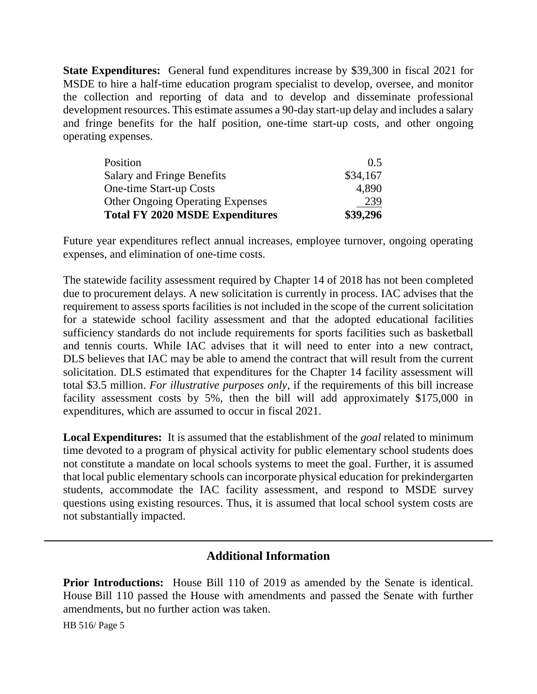**State Expenditures:** General fund expenditures increase by \$39,300 in fiscal 2021 for MSDE to hire a half-time education program specialist to develop, oversee, and monitor the collection and reporting of data and to develop and disseminate professional development resources. This estimate assumes a 90-day start-up delay and includes a salary and fringe benefits for the half position, one-time start-up costs, and other ongoing operating expenses.

| Position                                | $()$ 5   |
|-----------------------------------------|----------|
| <b>Salary and Fringe Benefits</b>       | \$34,167 |
| <b>One-time Start-up Costs</b>          | 4.890    |
| <b>Other Ongoing Operating Expenses</b> | 239      |
| <b>Total FY 2020 MSDE Expenditures</b>  | \$39,296 |

Future year expenditures reflect annual increases, employee turnover, ongoing operating expenses, and elimination of one-time costs.

The statewide facility assessment required by Chapter 14 of 2018 has not been completed due to procurement delays. A new solicitation is currently in process. IAC advises that the requirement to assess sports facilities is not included in the scope of the current solicitation for a statewide school facility assessment and that the adopted educational facilities sufficiency standards do not include requirements for sports facilities such as basketball and tennis courts. While IAC advises that it will need to enter into a new contract, DLS believes that IAC may be able to amend the contract that will result from the current solicitation. DLS estimated that expenditures for the Chapter 14 facility assessment will total \$3.5 million. *For illustrative purposes only*, if the requirements of this bill increase facility assessment costs by 5%, then the bill will add approximately \$175,000 in expenditures, which are assumed to occur in fiscal 2021.

**Local Expenditures:** It is assumed that the establishment of the *goal* related to minimum time devoted to a program of physical activity for public elementary school students does not constitute a mandate on local schools systems to meet the goal. Further, it is assumed that local public elementary schools can incorporate physical education for prekindergarten students, accommodate the IAC facility assessment, and respond to MSDE survey questions using existing resources. Thus, it is assumed that local school system costs are not substantially impacted.

# **Additional Information**

**Prior Introductions:** House Bill 110 of 2019 as amended by the Senate is identical. House Bill 110 passed the House with amendments and passed the Senate with further amendments, but no further action was taken.

HB 516/ Page 5